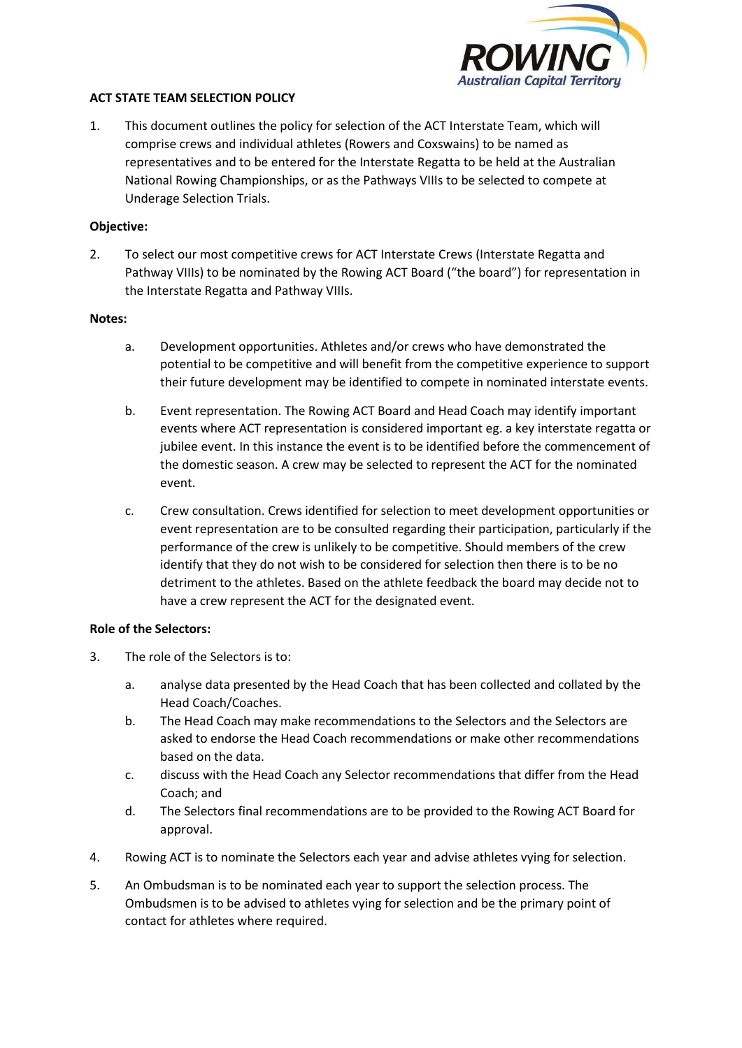

#### **ACT STATE TEAM SELECTION POLICY**

1. This document outlines the policy for selection of the ACT Interstate Team, which will comprise crews and individual athletes (Rowers and Coxswains) to be named as representatives and to be entered for the Interstate Regatta to be held at the Australian National Rowing Championships, or as the Pathways VIIIs to be selected to compete at Underage Selection Trials.

### **Objective:**

2. To select our most competitive crews for ACT Interstate Crews (Interstate Regatta and Pathway VIIIs) to be nominated by the Rowing ACT Board ("the board") for representation in the Interstate Regatta and Pathway VIIIs.

### **Notes:**

- a. Development opportunities. Athletes and/or crews who have demonstrated the potential to be competitive and will benefit from the competitive experience to support their future development may be identified to compete in nominated interstate events.
- b. Event representation. The Rowing ACT Board and Head Coach may identify important events where ACT representation is considered important eg. a key interstate regatta or jubilee event. In this instance the event is to be identified before the commencement of the domestic season. A crew may be selected to represent the ACT for the nominated event.
- c. Crew consultation. Crews identified for selection to meet development opportunities or event representation are to be consulted regarding their participation, particularly if the performance of the crew is unlikely to be competitive. Should members of the crew identify that they do not wish to be considered for selection then there is to be no detriment to the athletes. Based on the athlete feedback the board may decide not to have a crew represent the ACT for the designated event.

## **Role of the Selectors:**

- 3. The role of the Selectors is to:
	- a. analyse data presented by the Head Coach that has been collected and collated by the Head Coach/Coaches.
	- b. The Head Coach may make recommendations to the Selectors and the Selectors are asked to endorse the Head Coach recommendations or make other recommendations based on the data.
	- c. discuss with the Head Coach any Selector recommendations that differ from the Head Coach; and
	- d. The Selectors final recommendations are to be provided to the Rowing ACT Board for approval.
- 4. Rowing ACT is to nominate the Selectors each year and advise athletes vying for selection.
- 5. An Ombudsman is to be nominated each year to support the selection process. The Ombudsmen is to be advised to athletes vying for selection and be the primary point of contact for athletes where required.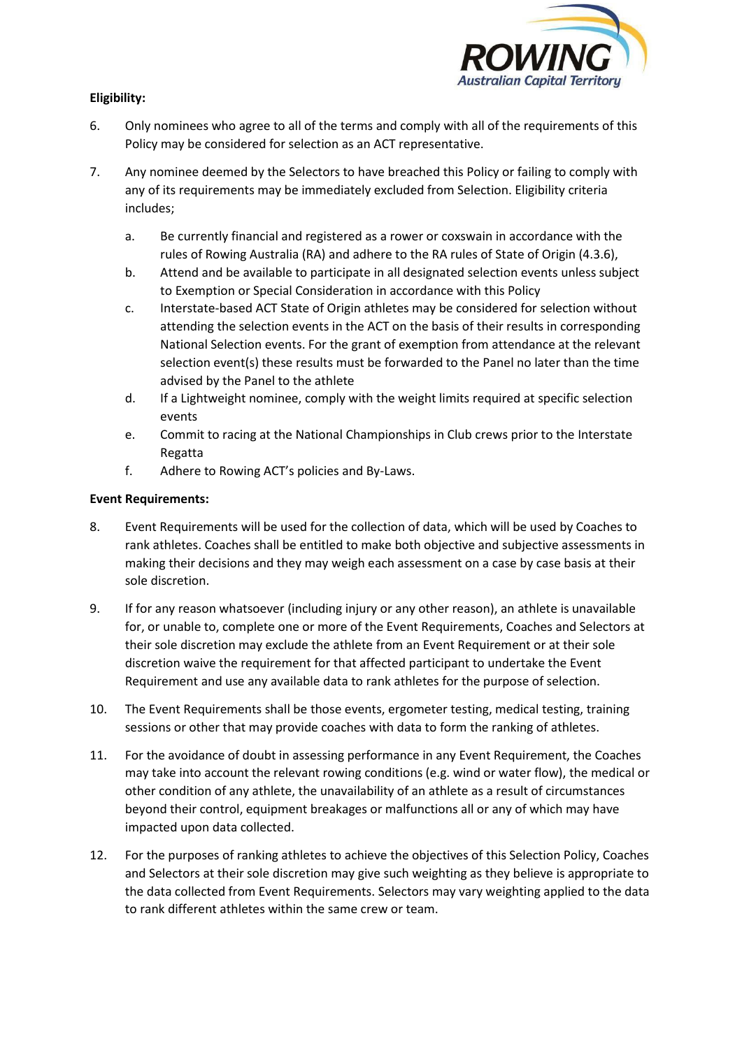

# **Eligibility:**

- 6. Only nominees who agree to all of the terms and comply with all of the requirements of this Policy may be considered for selection as an ACT representative.
- 7. Any nominee deemed by the Selectors to have breached this Policy or failing to comply with any of its requirements may be immediately excluded from Selection. Eligibility criteria includes;
	- a. Be currently financial and registered as a rower or coxswain in accordance with the rules of Rowing Australia (RA) and adhere to the RA rules of State of Origin (4.3.6),
	- b. Attend and be available to participate in all designated selection events unless subject to Exemption or Special Consideration in accordance with this Policy
	- c. Interstate-based ACT State of Origin athletes may be considered for selection without attending the selection events in the ACT on the basis of their results in corresponding National Selection events. For the grant of exemption from attendance at the relevant selection event(s) these results must be forwarded to the Panel no later than the time advised by the Panel to the athlete
	- d. If a Lightweight nominee, comply with the weight limits required at specific selection events
	- e. Commit to racing at the National Championships in Club crews prior to the Interstate Regatta
	- f. Adhere to Rowing ACT's policies and By-Laws.

## **Event Requirements:**

- 8. Event Requirements will be used for the collection of data, which will be used by Coaches to rank athletes. Coaches shall be entitled to make both objective and subjective assessments in making their decisions and they may weigh each assessment on a case by case basis at their sole discretion.
- 9. If for any reason whatsoever (including injury or any other reason), an athlete is unavailable for, or unable to, complete one or more of the Event Requirements, Coaches and Selectors at their sole discretion may exclude the athlete from an Event Requirement or at their sole discretion waive the requirement for that affected participant to undertake the Event Requirement and use any available data to rank athletes for the purpose of selection.
- 10. The Event Requirements shall be those events, ergometer testing, medical testing, training sessions or other that may provide coaches with data to form the ranking of athletes.
- 11. For the avoidance of doubt in assessing performance in any Event Requirement, the Coaches may take into account the relevant rowing conditions (e.g. wind or water flow), the medical or other condition of any athlete, the unavailability of an athlete as a result of circumstances beyond their control, equipment breakages or malfunctions all or any of which may have impacted upon data collected.
- 12. For the purposes of ranking athletes to achieve the objectives of this Selection Policy, Coaches and Selectors at their sole discretion may give such weighting as they believe is appropriate to the data collected from Event Requirements. Selectors may vary weighting applied to the data to rank different athletes within the same crew or team.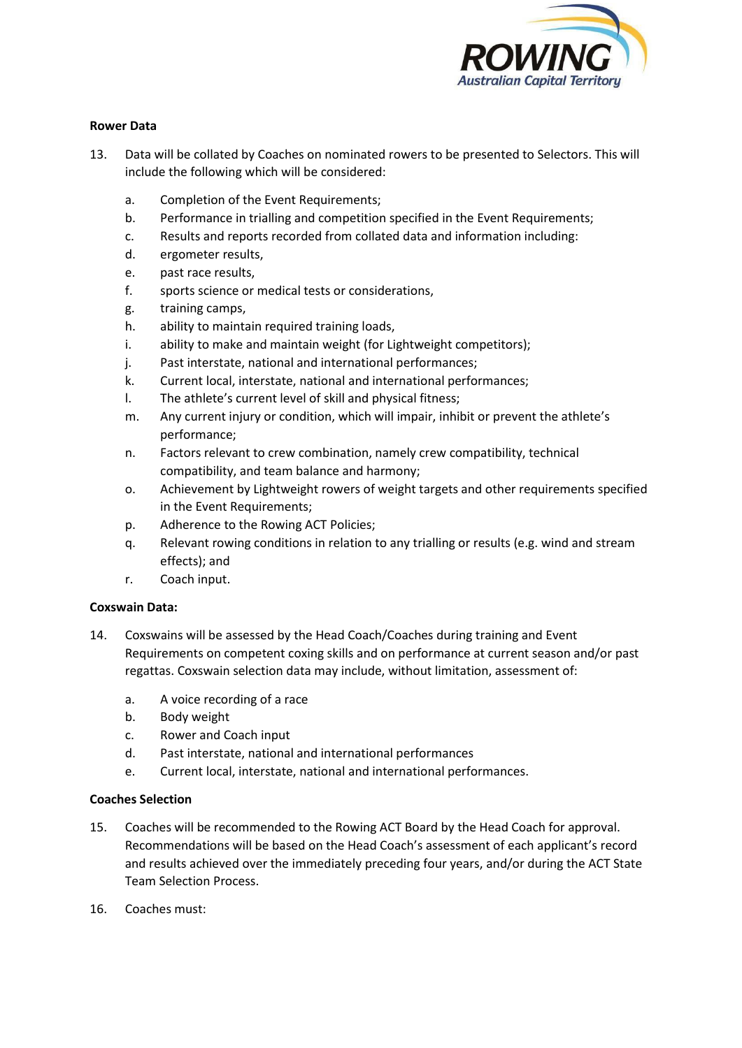

#### **Rower Data**

- 13. Data will be collated by Coaches on nominated rowers to be presented to Selectors. This will include the following which will be considered:
	- a. Completion of the Event Requirements;
	- b. Performance in trialling and competition specified in the Event Requirements;
	- c. Results and reports recorded from collated data and information including:
	- d. ergometer results,
	- e. past race results,
	- f. sports science or medical tests or considerations,
	- g. training camps,
	- h. ability to maintain required training loads,
	- i. ability to make and maintain weight (for Lightweight competitors);
	- j. Past interstate, national and international performances;
	- k. Current local, interstate, national and international performances;
	- l. The athlete's current level of skill and physical fitness;
	- m. Any current injury or condition, which will impair, inhibit or prevent the athlete's performance;
	- n. Factors relevant to crew combination, namely crew compatibility, technical compatibility, and team balance and harmony;
	- o. Achievement by Lightweight rowers of weight targets and other requirements specified in the Event Requirements;
	- p. Adherence to the Rowing ACT Policies;
	- q. Relevant rowing conditions in relation to any trialling or results (e.g. wind and stream effects); and
	- r. Coach input.

#### **Coxswain Data:**

- 14. Coxswains will be assessed by the Head Coach/Coaches during training and Event Requirements on competent coxing skills and on performance at current season and/or past regattas. Coxswain selection data may include, without limitation, assessment of:
	- a. A voice recording of a race
	- b. Body weight
	- c. Rower and Coach input
	- d. Past interstate, national and international performances
	- e. Current local, interstate, national and international performances.

## **Coaches Selection**

- 15. Coaches will be recommended to the Rowing ACT Board by the Head Coach for approval. Recommendations will be based on the Head Coach's assessment of each applicant's record and results achieved over the immediately preceding four years, and/or during the ACT State Team Selection Process.
- 16. Coaches must: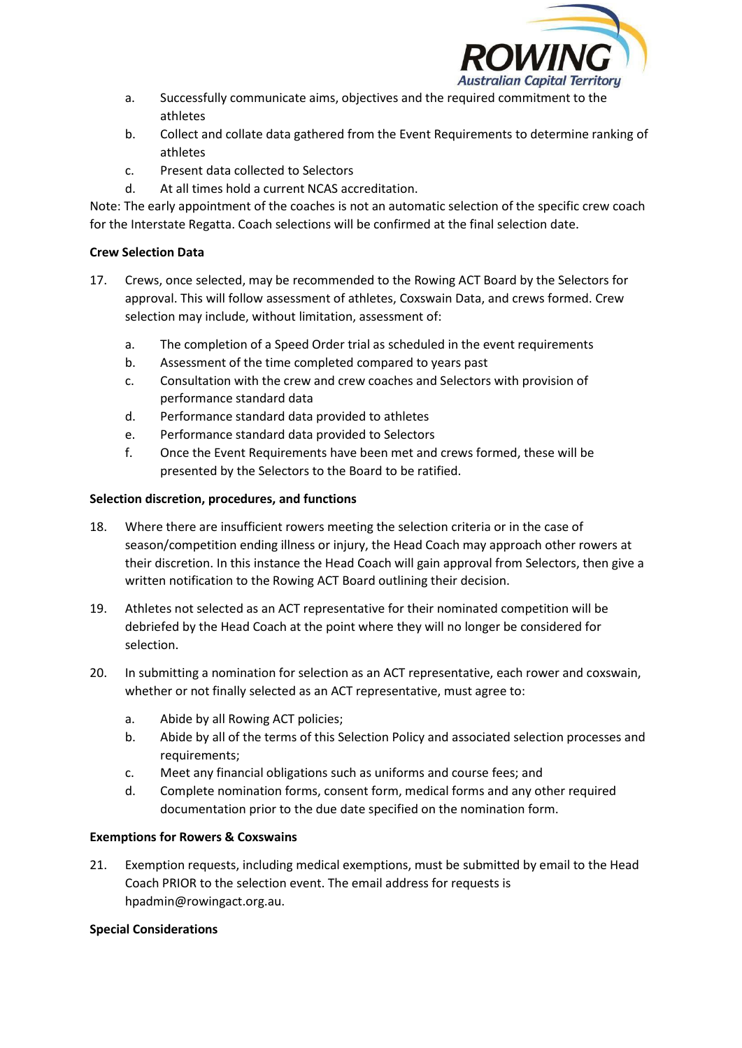

- a. Successfully communicate aims, objectives and the required commitment to the athletes
- b. Collect and collate data gathered from the Event Requirements to determine ranking of athletes
- c. Present data collected to Selectors
- d. At all times hold a current NCAS accreditation.

Note: The early appointment of the coaches is not an automatic selection of the specific crew coach for the Interstate Regatta. Coach selections will be confirmed at the final selection date.

# **Crew Selection Data**

- 17. Crews, once selected, may be recommended to the Rowing ACT Board by the Selectors for approval. This will follow assessment of athletes, Coxswain Data, and crews formed. Crew selection may include, without limitation, assessment of:
	- a. The completion of a Speed Order trial as scheduled in the event requirements
	- b. Assessment of the time completed compared to years past
	- c. Consultation with the crew and crew coaches and Selectors with provision of performance standard data
	- d. Performance standard data provided to athletes
	- e. Performance standard data provided to Selectors
	- f. Once the Event Requirements have been met and crews formed, these will be presented by the Selectors to the Board to be ratified.

# **Selection discretion, procedures, and functions**

- 18. Where there are insufficient rowers meeting the selection criteria or in the case of season/competition ending illness or injury, the Head Coach may approach other rowers at their discretion. In this instance the Head Coach will gain approval from Selectors, then give a written notification to the Rowing ACT Board outlining their decision.
- 19. Athletes not selected as an ACT representative for their nominated competition will be debriefed by the Head Coach at the point where they will no longer be considered for selection.
- 20. In submitting a nomination for selection as an ACT representative, each rower and coxswain, whether or not finally selected as an ACT representative, must agree to:
	- a. Abide by all Rowing ACT policies;
	- b. Abide by all of the terms of this Selection Policy and associated selection processes and requirements;
	- c. Meet any financial obligations such as uniforms and course fees; and
	- d. Complete nomination forms, consent form, medical forms and any other required documentation prior to the due date specified on the nomination form.

# **Exemptions for Rowers & Coxswains**

21. Exemption requests, including medical exemptions, must be submitted by email to the Head Coach PRIOR to the selection event. The email address for requests is hpadmin@rowingact.org.au.

## **Special Considerations**